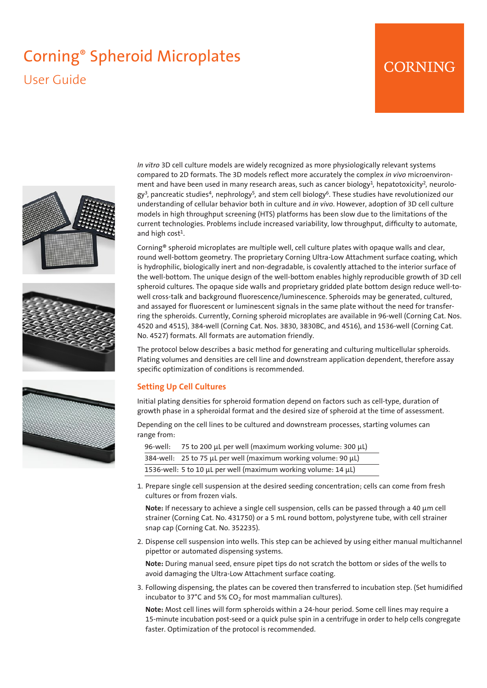# Corning® Spheroid Microplates User Guide

# CORNING







*In vitro* 3D cell culture models are widely recognized as more physiologically relevant systems compared to 2D formats. The 3D models reflect more accurately the complex *in vivo* microenvironment and have been used in many research areas, such as cancer biology<sup>1</sup>, hepatotoxicity<sup>2</sup>, neurology<sup>3</sup>, pancreatic studies<sup>4</sup>, nephrology<sup>5</sup>, and stem cell biology<sup>6</sup>. These studies have revolutionized our understanding of cellular behavior both in culture and *in vivo*. However, adoption of 3D cell culture models in high throughput screening (HTS) platforms has been slow due to the limitations of the current technologies. Problems include increased variability, low throughput, difficulty to automate, and high cost $<sup>1</sup>$ .</sup>

Corning® spheroid microplates are multiple well, cell culture plates with opaque walls and clear, round well-bottom geometry. The proprietary Corning Ultra-Low Attachment surface coating, which is hydrophilic, biologically inert and non-degradable, is covalently attached to the interior surface of the well-bottom. The unique design of the well-bottom enables highly reproducible growth of 3D cell spheroid cultures. The opaque side walls and proprietary gridded plate bottom design reduce well-towell cross-talk and background fluorescence/luminescence. Spheroids may be generated, cultured, and assayed for fluorescent or luminescent signals in the same plate without the need for transferring the spheroids. Currently, Corning spheroid microplates are available in 96-well (Corning Cat. Nos. 4520 and 4515), 384-well (Corning Cat. Nos. 3830, 3830BC, and 4516), and 1536-well (Corning Cat. No. 4527) formats. All formats are automation friendly.

The protocol below describes a basic method for generating and culturing multicellular spheroids. Plating volumes and densities are cell line and downstream application dependent, therefore assay specific optimization of conditions is recommended.

# **Setting Up Cell Cultures**

Initial plating densities for spheroid formation depend on factors such as cell-type, duration of growth phase in a spheroidal format and the desired size of spheroid at the time of assessment.

Depending on the cell lines to be cultured and downstream processes, starting volumes can range from:

| 96-well: 75 to 200 $\mu$ L per well (maximum working volume: 300 $\mu$ L) |
|---------------------------------------------------------------------------|
| 384-well: 25 to 75 µL per well (maximum working volume: 90 µL)            |
| 1536-well: 5 to 10 µL per well (maximum working volume: 14 µL)            |

1. Prepare single cell suspension at the desired seeding concentration; cells can come from fresh cultures or from frozen vials.

**Note:** If necessary to achieve a single cell suspension, cells can be passed through a 40 µm cell strainer (Corning Cat. No. 431750) or a 5 mL round bottom, polystyrene tube, with cell strainer snap cap (Corning Cat. No. 352235).

2. Dispense cell suspension into wells. This step can be achieved by using either manual multichannel pipettor or automated dispensing systems.

**Note:** During manual seed, ensure pipet tips do not scratch the bottom or sides of the wells to avoid damaging the Ultra-Low Attachment surface coating.

3. Following dispensing, the plates can be covered then transferred to incubation step. (Set humidified incubator to 37°C and 5% CO<sub>2</sub> for most mammalian cultures).

**Note:** Most cell lines will form spheroids within a 24-hour period. Some cell lines may require a 15-minute incubation post-seed or a quick pulse spin in a centrifuge in order to help cells congregate faster. Optimization of the protocol is recommended.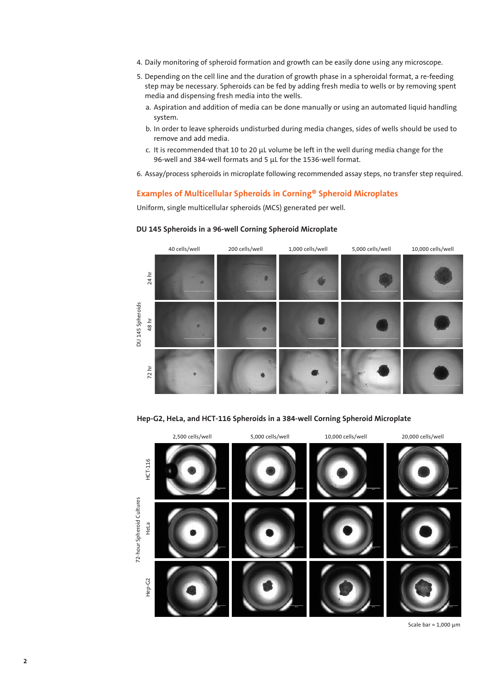- 4. Daily monitoring of spheroid formation and growth can be easily done using any microscope.
- 5. Depending on the cell line and the duration of growth phase in a spheroidal format, a re-feeding step may be necessary. Spheroids can be fed by adding fresh media to wells or by removing spent media and dispensing fresh media into the wells.
	- a. Aspiration and addition of media can be done manually or using an automated liquid handling system.
	- b. In order to leave spheroids undisturbed during media changes, sides of wells should be used to remove and add media.
	- c. It is recommended that 10 to 20  $\mu$ L volume be left in the well during media change for the 96-well and 384-well formats and 5 µL for the 1536-well format.
- 6. Assay/process spheroids in microplate following recommended assay steps, no transfer step required.

## **Examples of Multicellular Spheroids in Corning® Spheroid Microplates**

Uniform, single multicellular spheroids (MCS) generated per well.



#### **DU 145 Spheroids in a 96-well Corning Spheroid Microplate**

**Hep-G2, HeLa, and HCT-116 Spheroids in a 384-well Corning Spheroid Microplate**



Scale bar =  $1,000 \mu m$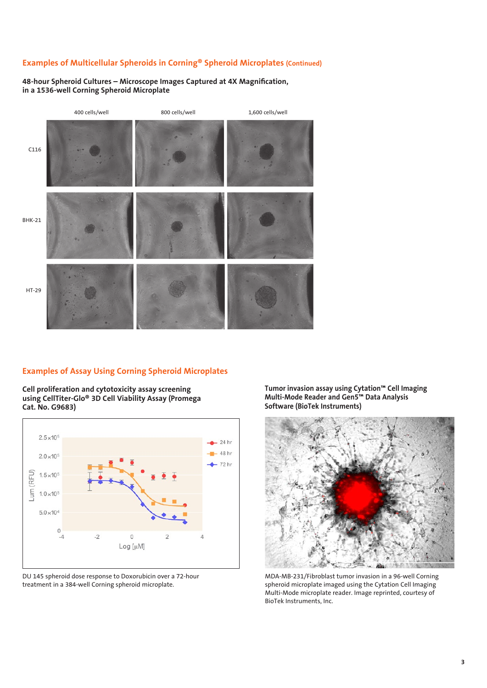# **Examples of Multicellular Spheroids in Corning® Spheroid Microplates (Continued)**

**48-hour Spheroid Cultures – Microscope Images Captured at 4X Magnification, in a 1536-well Corning Spheroid Microplate**



#### **Examples of Assay Using Corning Spheroid Microplates**

**Cell proliferation and cytotoxicity assay screening using CellTiter-Glo® 3D Cell Viability Assay (Promega Cat. No. G9683)**



DU 145 spheroid dose response to Doxorubicin over a 72-hour treatment in a 384-well Corning spheroid microplate.

**Tumor invasion assay using Cytation™ Cell Imaging Multi-Mode Reader and Gen5™ Data Analysis Software (BioTek Instruments)**



MDA-MB-231/Fibroblast tumor invasion in a 96-well Corning spheroid microplate imaged using the Cytation Cell Imaging Multi-Mode microplate reader. Image reprinted, courtesy of BioTek Instruments, Inc.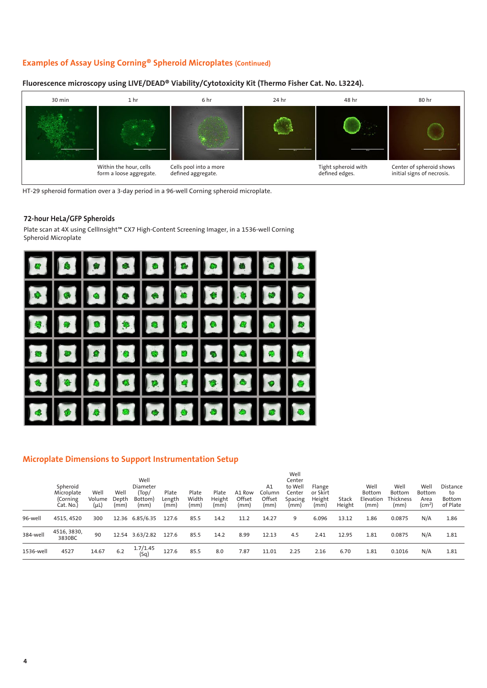# **Examples of Assay Using Corning® Spheroid Microplates (Continued)**

#### Within the hour, cells form a loose aggregate. Cells pool into a more defined aggregate. Tight spheroid with defined edges. Center of spheroid shows initial signs of necrosis. 30 min 1 hr 6 hr 24 hr 48 hr 80 hr

### **Fluorescence microscopy using LIVE/DEAD® Viability/Cytotoxicity Kit (Thermo Fisher Cat. No. L3224).**

HT-29 spheroid formation over a 3-day period in a 96-well Corning spheroid microplate.

#### **72-hour HeLa/GFP Spheroids**

Plate scan at 4X using CellInsight™ CX7 High-Content Screening Imager, in a 1536-well Corning Spheroid Microplate



## **Microplate Dimensions to Support Instrumentation Setup**

|           | Spheroid<br>Microplate<br>(Corning<br>Cat. No.) | Well<br>Volume<br>$(\mu L)$ | Well<br>Depth<br>(mm) | Well<br>Diameter<br>(Top/<br>Bottom)<br>(mm) | Plate<br>Length<br>(mm) | Plate<br>Width<br>(mm) | Plate<br>Height<br>(mm) | A1 Row<br>Offset<br>(mm) | A1<br>Column<br>Offset<br>(mm) | Well<br>Center<br>to Well<br>Center<br>Spacing<br>(mm) | Flange<br>or Skirt<br>Height<br>(mm) | Stack<br>Height | Well<br><b>Bottom</b><br>Elevation<br>(mm) | Well<br>Bottom<br><b>Thickness</b><br>(mm) | Well<br><b>Bottom</b><br>Area<br>(cm <sup>2</sup> ) | <b>Distance</b><br>to<br>Bottom<br>of Plate |
|-----------|-------------------------------------------------|-----------------------------|-----------------------|----------------------------------------------|-------------------------|------------------------|-------------------------|--------------------------|--------------------------------|--------------------------------------------------------|--------------------------------------|-----------------|--------------------------------------------|--------------------------------------------|-----------------------------------------------------|---------------------------------------------|
| 96-well   | 4515, 4520                                      | 300                         |                       | 12.36 6.85/6.35                              | 127.6                   | 85.5                   | 14.2                    | 11.2                     | 14.27                          | 9                                                      | 6.096                                | 13.12           | 1.86                                       | 0.0875                                     | N/A                                                 | 1.86                                        |
| 384-well  | 4516, 3830,<br>3830BC                           | 90                          |                       | 12.54 3.63/2.82                              | 127.6                   | 85.5                   | 14.2                    | 8.99                     | 12.13                          | 4.5                                                    | 2.41                                 | 12.95           | 1.81                                       | 0.0875                                     | N/A                                                 | 1.81                                        |
| 1536-well | 4527                                            | 14.67                       | 6.2                   | 1.7/1.45<br>(Sq)                             | 127.6                   | 85.5                   | 8.0                     | 7.87                     | 11.01                          | 2.25                                                   | 2.16                                 | 6.70            | 1.81                                       | 0.1016                                     | N/A                                                 | 1.81                                        |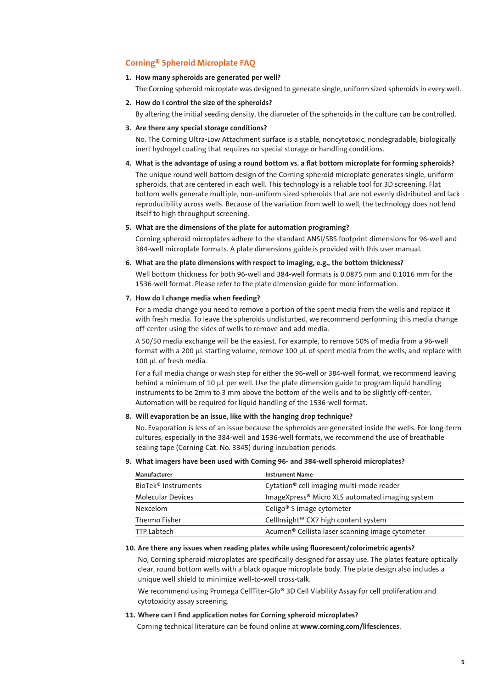# **Corning® Spheroid Microplate FAQ**

**1. How many spheroids are generated per well?**

The Corning spheroid microplate was designed to generate single, uniform sized spheroids in every well.

**2. How do I control the size of the spheroids?**

By altering the initial seeding density, the diameter of the spheroids in the culture can be controlled.

#### **3. Are there any special storage conditions?**

No. The Corning Ultra-Low Attachment surface is a stable, noncytotoxic, nondegradable, biologically inert hydrogel coating that requires no special storage or handling conditions.

**4. What is the advantage of using a round bottom vs. a flat bottom microplate for forming spheroids?**

The unique round well bottom design of the Corning spheroid microplate generates single, uniform spheroids, that are centered in each well. This technology is a reliable tool for 3D screening. Flat bottom wells generate multiple, non-uniform sized spheroids that are not evenly distributed and lack reproducibility across wells. Because of the variation from well to well, the technology does not lend itself to high throughput screening.

#### **5. What are the dimensions of the plate for automation programing?**

Corning spheroid microplates adhere to the standard ANSI/SBS footprint dimensions for 96-well and 384-well microplate formats. A plate dimensions guide is provided with this user manual.

**6. What are the plate dimensions with respect to imaging, e.g., the bottom thickness?**

Well bottom thickness for both 96-well and 384-well formats is 0.0875 mm and 0.1016 mm for the 1536-well format. Please refer to the plate dimension guide for more information.

**7. How do I change media when feeding?** 

For a media change you need to remove a portion of the spent media from the wells and replace it with fresh media. To leave the spheroids undisturbed, we recommend performing this media change off-center using the sides of wells to remove and add media.

A 50/50 media exchange will be the easiest. For example, to remove 50% of media from a 96-well format with a 200 µL starting volume, remove 100 µL of spent media from the wells, and replace with 100 µL of fresh media.

For a full media change or wash step for either the 96-well or 384-well format, we recommend leaving behind a minimum of 10 µL per well. Use the plate dimension guide to program liquid handling instruments to be 2mm to 3 mm above the bottom of the wells and to be slightly off-center. Automation will be required for liquid handling of the 1536-well format.

**8. Will evaporation be an issue, like with the hanging drop technique?**

No. Evaporation is less of an issue because the spheroids are generated inside the wells. For long-term cultures, especially in the 384-well and 1536-well formats, we recommend the use of breathable sealing tape (Corning Cat. No. 3345) during incubation periods.

**9. What imagers have been used with Corning 96- and 384-well spheroid microplates?**

| Manufacturer                    | <b>Instrument Name</b>                                      |  |  |  |  |  |
|---------------------------------|-------------------------------------------------------------|--|--|--|--|--|
| BioTek <sup>®</sup> Instruments | Cytation <sup>®</sup> cell imaging multi-mode reader        |  |  |  |  |  |
| <b>Molecular Devices</b>        | ImageXpress® Micro XLS automated imaging system             |  |  |  |  |  |
| <b>Nexcelom</b>                 | Celigo <sup>®</sup> S image cytometer                       |  |  |  |  |  |
| Thermo Fisher                   | CellInsight <sup>™</sup> CX7 high content system            |  |  |  |  |  |
| <b>TTP Labtech</b>              | Acumen <sup>®</sup> Cellista laser scanning image cytometer |  |  |  |  |  |

#### **10. Are there any issues when reading plates while using fluorescent/colorimetric agents?**

No, Corning spheroid microplates are specifically designed for assay use. The plates feature optically clear, round bottom wells with a black opaque microplate body. The plate design also includes a unique well shield to minimize well-to-well cross-talk.

We recommend using Promega CellTiter-Glo® 3D Cell Viability Assay for cell proliferation and cytotoxicity assay screening.

**11. Where can I find application notes for Corning spheroid microplates?**

Corning technical literature can be found online at **www.corning.com/lifesciences**.